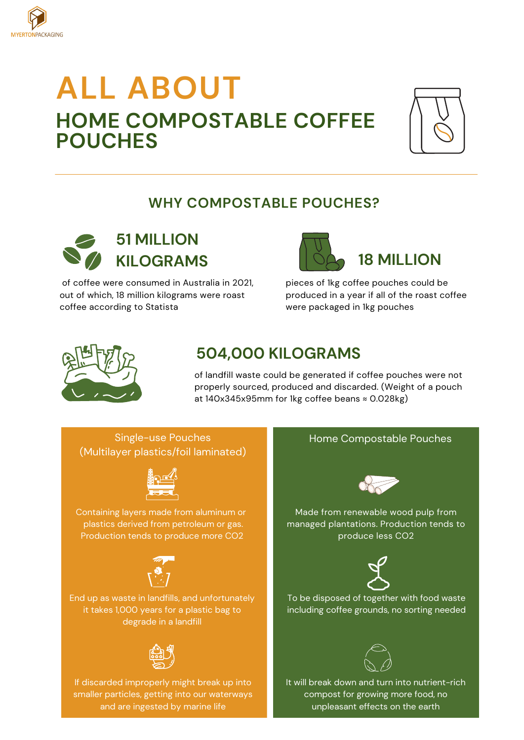

# **ALL ABOUT HOME COMPOSTABLE COFFEE POUCHES**



## **WHY COMPOSTABLE POUCHES?**



of coffee were consumed in Australia in 2021, out of which, 18 million kilograms were roast coffee according to [Statista](https://www.statista.com/accounts/corporate/)



pieces of 1kg coffee pouches could be produced in a year if all of the roast coffee were packaged in 1kg pouches



# **504,000 KILOGRAMS**

of landfill waste could be generated if coffee pouches were not properly sourced, produced and discarded. (Weight of a pouch at 140x345x95mm for 1kg coffee beans [≈](https://unicode-table.com/cn/2248/) 0.028kg)

Single-use Pouches (Multilayer plastics/foil laminated)



Containing layers made from aluminum or plastics derived from petroleum or gas. Production tends to produce more CO2



End up as waste in landfills, and unfortunately it takes 1,000 years for a plastic bag to degrade in a landfill



If discarded improperly might break up into smaller particles, getting into our waterways and are ingested by marine life

#### Home Compostable Pouches



Made from renewable wood pulp from managed plantations. Production tends to produce less CO2



To be disposed of together with food waste including coffee grounds, no sorting needed



It will break down and turn into nutrient-rich compost for growing more food, no unpleasant effects on the earth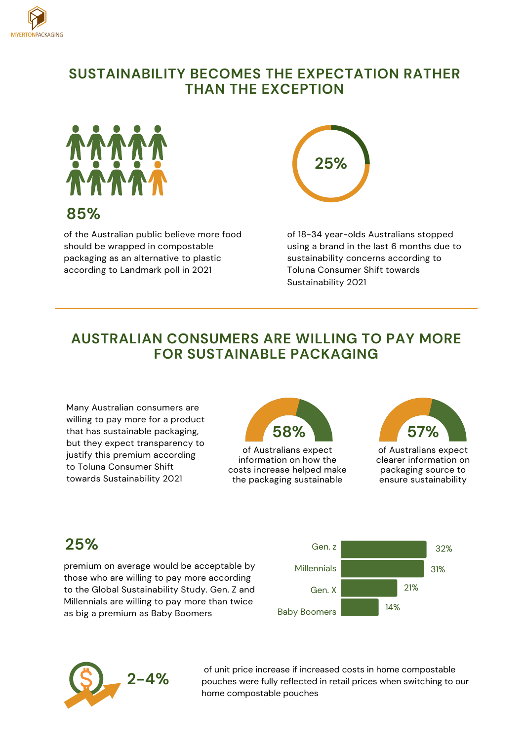

#### **SUSTAINABILITY BECOMES THE EXPECTATION RATHER THAN THE EXCEPTION**



#### **85%**

of the Australian public believe more food should be wrapped in compostable packaging as an alternative to plastic according to Landmark poll in 2021



of 18-34 year-olds Australians stopped using a brand in the last 6 months due to sustainability concerns according to Toluna Consumer Shift towards Sustainability 2021

#### **AUSTRALIAN CONSUMERS ARE WILLING TO PAY MORE FOR SUSTAINABLE PACKAGING**

Many Australian consumers are willing to pay more for a product that has sustainable packaging, but they expect transparency to justify this premium according to Toluna Consumer Shift towards Sustainability 2021



of Australians expect information on how the costs increase helped make the packaging sustainable



of Australians expect clearer information on packaging source to ensure sustainability

## **25%**

premium on average would be acceptable by those who are willing to pay more according to the Global Sustainability Study. Gen. Z and Millennials are willing to pay more than twice as big a premium as Baby Boomers





of unit price increase if increased costs in home compostable pouches were fully reflected in retail prices when switching to our home compostable pouches